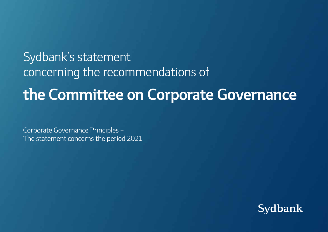# Sydbank's statement concerning the recommendations of **the Committee on Corporate Governance**

Corporate Governance Principles – The statement concerns the period 2021

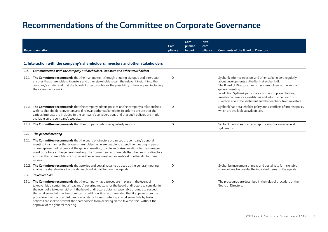|      | Recommendation                                                                                                                                                                                                                                                                                                                                                                                                                                                                                                                                                                                                                       | Com-<br>pliance           | Com-<br>pliance<br>in part | Non-<br>com-<br>pliance | <b>Comments of the Board of Directors:</b>                                                                                                                                                                                                                                                                                                                                                  |
|------|--------------------------------------------------------------------------------------------------------------------------------------------------------------------------------------------------------------------------------------------------------------------------------------------------------------------------------------------------------------------------------------------------------------------------------------------------------------------------------------------------------------------------------------------------------------------------------------------------------------------------------------|---------------------------|----------------------------|-------------------------|---------------------------------------------------------------------------------------------------------------------------------------------------------------------------------------------------------------------------------------------------------------------------------------------------------------------------------------------------------------------------------------------|
|      | 1. Interaction with the company's shareholders, investors and other stakeholders                                                                                                                                                                                                                                                                                                                                                                                                                                                                                                                                                     |                           |                            |                         |                                                                                                                                                                                                                                                                                                                                                                                             |
| 1.1. | Communication with the company's shareholders, investors and other stakeholders                                                                                                                                                                                                                                                                                                                                                                                                                                                                                                                                                      |                           |                            |                         |                                                                                                                                                                                                                                                                                                                                                                                             |
|      | 1.1.1. The Committee recommends that the management through ongoing dialogue and interaction<br>ensures that shareholders, investors and other stakeholders gain the relevant insight into the<br>company's affairs, and that the board of directors obtains the possibility of hearing and including<br>their views in its work.                                                                                                                                                                                                                                                                                                    | X                         |                            |                         | Sydbank informs investors and other stakeholders regularly<br>about developments at the Bank at sydbank.dk.<br>The Board of Directors meets the shareholders at the annual<br>general meeting.<br>In addition Sydbank participates in investor presentations,<br>investor conferences, roadshows and informs the Board of<br>Directors about the sentiment and the feedback from investors. |
|      | 1.1.2. The Committee recommends that the company adopts policies on the company's relationships<br>with its shareholders, investors and if relevant other stakeholders in order to ensure that the<br>various interests are included in the company's considerations and that such policies are made<br>available on the company's website.                                                                                                                                                                                                                                                                                          | $\boldsymbol{\mathsf{x}}$ |                            |                         | Sydbank has a stakeholder policy and a conflicts of interest policy<br>which are available at sydbank.dk.                                                                                                                                                                                                                                                                                   |
|      | 1.1.3. The Committee recommends that the company publishes quarterly reports.                                                                                                                                                                                                                                                                                                                                                                                                                                                                                                                                                        | $\boldsymbol{\mathsf{x}}$ |                            |                         | Sydbank publishes quarterly reports which are available at<br>sydbank.dk.                                                                                                                                                                                                                                                                                                                   |
| 1.2. | The general meeting                                                                                                                                                                                                                                                                                                                                                                                                                                                                                                                                                                                                                  |                           |                            |                         |                                                                                                                                                                                                                                                                                                                                                                                             |
|      | 1.2.1. The Committee recommends that the board of directors organises the company's general<br>meeting in a manner that allows shareholders, who are unable to attend the meeting in person<br>or are represented by proxy at the general meeting, to vote and raise questions to the manage-<br>ment prior to or at the general meeting. The Committee recommends that the board of directors<br>ensures that shareholders can observe the general meeting via webcast or other digital trans-<br>mission.                                                                                                                          |                           |                            |                         |                                                                                                                                                                                                                                                                                                                                                                                             |
|      | 1.2.2. The Committee recommends that proxies and postal votes to be used at the general meeting<br>enable the shareholders to consider each individual item on the agenda.                                                                                                                                                                                                                                                                                                                                                                                                                                                           | X                         |                            |                         | Sydbank's instrument of proxy and postal vote forms enable<br>shareholders to consider the individual items on the agenda.                                                                                                                                                                                                                                                                  |
| 1.3. | <b>Takeover bids</b>                                                                                                                                                                                                                                                                                                                                                                                                                                                                                                                                                                                                                 |                           |                            |                         |                                                                                                                                                                                                                                                                                                                                                                                             |
|      | 1.3.1. The Committee recommends that the company has a procedure in place in the event of<br>takeover bids, containing a "road map" covering matters for the board of directors to consider in<br>the event of a takeover bid, or if the board of directors obtains reasonable grounds to suspect<br>that a takeover bid may be submitted. In addition, it is recommended that it appears from the<br>procedure that the board of directors abstains from countering any takeover bids by taking<br>actions that seek to prevent the shareholders from deciding on the takeover bid, without the<br>approval of the general meeting. | $\boldsymbol{\mathsf{x}}$ |                            |                         | The procedures are described in the rules of procedure of the<br>Board of Directors.                                                                                                                                                                                                                                                                                                        |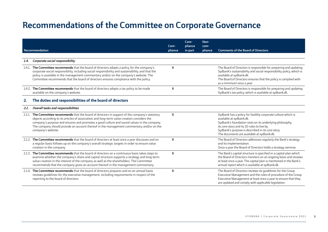|      | Recommendation                                                                                                                                                                                                                                                                                                                                                                                                   | Com-<br>pliance           | Com-<br>pliance<br>in part | Non-<br>com-<br>pliance | <b>Comments of the Board of Directors:</b>                                                                                                                                                                                                                                                            |
|------|------------------------------------------------------------------------------------------------------------------------------------------------------------------------------------------------------------------------------------------------------------------------------------------------------------------------------------------------------------------------------------------------------------------|---------------------------|----------------------------|-------------------------|-------------------------------------------------------------------------------------------------------------------------------------------------------------------------------------------------------------------------------------------------------------------------------------------------------|
|      |                                                                                                                                                                                                                                                                                                                                                                                                                  |                           |                            |                         |                                                                                                                                                                                                                                                                                                       |
| 1.4. | Corporate social responsibility                                                                                                                                                                                                                                                                                                                                                                                  |                           |                            |                         |                                                                                                                                                                                                                                                                                                       |
|      | 1.4.1. The Committee recommends that the board of directors adopts a policy for the company's<br>corporate social responsibility, including social responsibility and sustainability, and that the<br>policy is available in the management commentary and/or on the company's website. The<br>Committee recommends that the board of directors ensures compliance with the policy.                              | $\boldsymbol{\mathsf{x}}$ |                            |                         | The Board of Directors is responsible for preparing and updating<br>Sydbank's sustainability and social responsibility policy, which is<br>available at sydbank.dk.<br>The Board of Directors ensures that the policy is complied with<br>as a minimum once a year.                                   |
|      | 1.4.2. The Committee recommends that the board of directors adopts a tax policy to be made<br>available on the company's website.                                                                                                                                                                                                                                                                                | $\boldsymbol{\mathsf{x}}$ |                            |                         | The Board of Directors is responsible for preparing and updating<br>Sydbank's tax policy, which is available at sydbank.dk.                                                                                                                                                                           |
| 2.   | The duties and responsibilities of the board of directors                                                                                                                                                                                                                                                                                                                                                        |                           |                            |                         |                                                                                                                                                                                                                                                                                                       |
| 2.1. | Overall tasks and responsibilities                                                                                                                                                                                                                                                                                                                                                                               |                           |                            |                         |                                                                                                                                                                                                                                                                                                       |
|      | 2.1.1. The Committee recommends that the board of directors in support of the company's statutory<br>objects according to its articles of association and long-term value creation considers the<br>company's purpose and ensures and promotes a good culture and sound values in the company.<br>The company should provide an account thereof in the management commentary and/or on the<br>company's website. | $\boldsymbol{\mathsf{x}}$ |                            |                         | Sydbank has a policy for healthy corporate culture which is<br>available at sydbank.dk.<br>Sydbank's foundation rests on its underlying philosophy,<br>its core story and its 10 rules to live by.<br>Sydbank's purpose is described in its core story.<br>The documents are available at sydbank.dk. |
|      | 2.1.2. The Committee recommends that the board of directors at least once a year discusses and on<br>a regular basis follows up on the company's overall strategic targets in order to ensure value<br>creation in the company.                                                                                                                                                                                  | $\boldsymbol{\mathsf{x}}$ |                            |                         | The Board of Directors addresses regularly the Bank's strategy<br>and its implementation.<br>Once a year the Board of Directors holds a strategy seminar.                                                                                                                                             |
|      | 2.1.3. The Committee recommends that the board of directors on a continuous basis takes steps to<br>examine whether the company's share and capital structure supports a strategy and long-term<br>value creation in the interest of the company as well as the shareholders. The Committee<br>recommends that the company gives an account thereof in the management commentary.                                | $\boldsymbol{\mathsf{x}}$ |                            |                         | The Bank's capital structure is specified in a capital plan which<br>the Board of Directors monitors on an ongoing basis and reviews<br>at least once a year. The capital plan is mentioned in the Bank's<br>annual report which is available at sydbank.dk.                                          |
|      | 2.1.4. The Committee recommends that the board of directors prepares and on an annual basis<br>reviews quidelines for the executive management, including requirements in respect of the<br>reporting to the board of directors.                                                                                                                                                                                 | $\boldsymbol{\mathsf{x}}$ |                            |                         | The Board of Directors reviews its quidelines for the Group<br>Executive Management and the rules of procedure of the Group<br>Executive Management at least once a year to ensure that they<br>are updated and comply with applicable legislation.                                                   |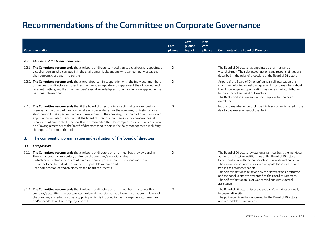|        | Recommendation                                                                                                                                                                                                                                                                                                                                                                                                                                                                                                                                                                                                                           | Com-<br>pliance | Com-<br>pliance<br>in part | Non-<br>com-<br>pliance | <b>Comments of the Board of Directors:</b>                                                                                                                                                                                                                                                                                                                                                                                                                                                                           |
|--------|------------------------------------------------------------------------------------------------------------------------------------------------------------------------------------------------------------------------------------------------------------------------------------------------------------------------------------------------------------------------------------------------------------------------------------------------------------------------------------------------------------------------------------------------------------------------------------------------------------------------------------------|-----------------|----------------------------|-------------------------|----------------------------------------------------------------------------------------------------------------------------------------------------------------------------------------------------------------------------------------------------------------------------------------------------------------------------------------------------------------------------------------------------------------------------------------------------------------------------------------------------------------------|
|        |                                                                                                                                                                                                                                                                                                                                                                                                                                                                                                                                                                                                                                          |                 |                            |                         |                                                                                                                                                                                                                                                                                                                                                                                                                                                                                                                      |
| 2.2.   | Members of the board of directors                                                                                                                                                                                                                                                                                                                                                                                                                                                                                                                                                                                                        |                 |                            |                         |                                                                                                                                                                                                                                                                                                                                                                                                                                                                                                                      |
|        | 2.2.1. The Committee recommends that the board of directors, in addition to a chairperson, appoints a<br>vice chairperson who can step in if the chairperson is absent and who can generally act as the<br>chairperson's close sparring partner.                                                                                                                                                                                                                                                                                                                                                                                         | X               |                            |                         | The Board of Directors has appointed a chairman and a<br>vice-chairman. Their duties, obligations and responsibilities are<br>described in the rules of procedure of the Board of Directors.                                                                                                                                                                                                                                                                                                                         |
|        | 2.2.2. The Committee recommends that the chairperson in cooperation with the individual members<br>of the board of directors ensures that the members update and supplement their knowledge of<br>relevant matters, and that the members' special knowledge and qualifications are applied in the<br>best possible manner.                                                                                                                                                                                                                                                                                                               | $\mathsf{x}$    |                            |                         | As part of the Board of Directors' annual self-evaluation the<br>chairman holds individual dialogues with board members about<br>their knowledge and qualifications as well as their contribution<br>to the work of the Board of Directors.<br>The Bank conducts two annual training days for the board<br>members.                                                                                                                                                                                                  |
|        | 2.2.3. The Committee recommends that if the board of directors, in exceptional cases, requests a<br>member of the board of directors to take on special duties for the company, for instance for a<br>short period to take part in the daily management of the company, the board of directors should<br>approve this in order to ensure that the board of directors maintains its independent overall<br>management and control function. It is recommended that the company publishes any decision<br>on allowing a member of the board of directors to take part in the daily management, including<br>the expected duration thereof. | X               |                            |                         | No board member undertook specific tasks or participated in the<br>day-to-day management of the Bank.                                                                                                                                                                                                                                                                                                                                                                                                                |
| З.     | The composition, organisation and evaluation of the board of directors                                                                                                                                                                                                                                                                                                                                                                                                                                                                                                                                                                   |                 |                            |                         |                                                                                                                                                                                                                                                                                                                                                                                                                                                                                                                      |
| 3.1.   | Composition                                                                                                                                                                                                                                                                                                                                                                                                                                                                                                                                                                                                                              |                 |                            |                         |                                                                                                                                                                                                                                                                                                                                                                                                                                                                                                                      |
| 3.1.1. | The Committee recommends that the board of directors on an annual basis reviews and in<br>the management commentary and/or on the company's website states<br>· which qualifications the board of directors should possess, collectively and individually<br>in order to perform its duties in the best possible manner, and<br>· the composition of and diversity on the board of directors.                                                                                                                                                                                                                                            | X               |                            |                         | The Board of Directors reviews on an annual basis the individual<br>as well as collective qualifications of the Board of Directors.<br>Every third year with the participation of an external consultant.<br>The evaluation includes a review as regards the issues mentio-<br>ned in the recommendation.<br>The self-evaluation is reviewed by the Nomination Committee<br>and the conclusions are presented to the Board of Directors.<br>The self-evaluation in 2021 was carried out with external<br>assistance. |
|        | 3.1.2. The Committee recommends that the board of directors on an annual basis discusses the<br>company's activities in order to ensure relevant diversity at the different management levels of<br>the company and adopts a diversity policy, which is included in the management commentary<br>and/or available on the company's website.                                                                                                                                                                                                                                                                                              | X               |                            |                         | The Board of Directors discusses Sydbank's activities annually<br>to ensure diversity.<br>The policy on diversity is approved by the Board of Directors<br>and is available at sydbank.dk.                                                                                                                                                                                                                                                                                                                           |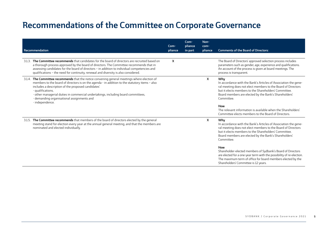|        | Recommendation                                                                                                                                                                                                                                                                                                                                                                                                                        | Com-<br>pliance           | Com-<br>pliance<br>in part | Non-<br>com-<br>pliance | <b>Comments of the Board of Directors:</b>                                                                                                                                                                                                                                                                                                                                                                                                                                                                                  |
|--------|---------------------------------------------------------------------------------------------------------------------------------------------------------------------------------------------------------------------------------------------------------------------------------------------------------------------------------------------------------------------------------------------------------------------------------------|---------------------------|----------------------------|-------------------------|-----------------------------------------------------------------------------------------------------------------------------------------------------------------------------------------------------------------------------------------------------------------------------------------------------------------------------------------------------------------------------------------------------------------------------------------------------------------------------------------------------------------------------|
| 3.1.3. | The Committee recommends that candidates for the board of directors are recruited based on<br>a thorough process approved by the board of directors. The Committee recommends that in<br>assessing candidates for the board of directors - in addition to individual competencies and<br>qualifications - the need for continuity, renewal and diversity is also considered.                                                          | $\boldsymbol{\mathsf{x}}$ |                            |                         | The Board of Directors' approved selection process includes<br>parameters such as gender, age, experience and qualifications.<br>An account of the process is given at board meetings. The<br>process is transparent.                                                                                                                                                                                                                                                                                                       |
|        | 3.1.4. The Committee recommends that the notice convening general meetings where election of<br>members to the board of directors is on the agenda - in addition to the statutory items - also<br>includes a description of the proposed candidates'<br>· qualifications.<br>· other managerial duties in commercial undertakings, including board committees,<br>· demanding organisational assignments and<br>$\cdot$ independence. |                           |                            | X.                      | Why<br>In accordance with the Bank's Articles of Association the gene-<br>ral meeting does not elect members to the Board of Directors<br>but it elects members to the Shareholders' Committee.<br>Board members are elected by the Bank's Shareholders'<br>Committee.<br>How<br>The relevant information is available when the Shareholders'<br>Committee elects members to the Board of Directors.                                                                                                                        |
|        | 3.1.5. The Committee recommends that members of the board of directors elected by the general<br>meeting stand for election every year at the annual general meeting, and that the members are<br>nominated and elected individually.                                                                                                                                                                                                 |                           |                            | X.                      | Why<br>In accordance with the Bank's Articles of Association the gene-<br>ral meeting does not elect members to the Board of Directors<br>but it elects members to the Shareholders' Committee.<br>Board members are elected by the Bank's Shareholders'<br>Committee.<br>How<br>Shareholder-elected members of Sydbank's Board of Directors<br>are elected for a one-year term with the possibility of re-election.<br>The maximum term of office for board members elected by the<br>Shareholders' Committee is 12 years. |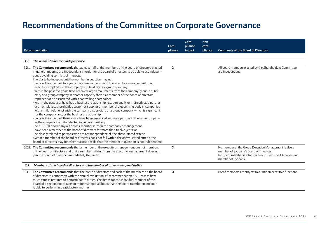|      | Recommendation                                                                                                                                                                                                                                                                                                                                                                                                                                                                                                                                                                                                                                                                                                                                                                                                                                                                                                                                                                                                                                                                                                                                                                                                                                                                                                                                                                                                                                                                                                                                                                                                                                                                                                                       | Com-<br>pliance           | Com-<br>pliance<br>in part | Non-<br>com-<br>pliance | <b>Comments of the Board of Directors:</b>                                                                                                                                       |
|------|--------------------------------------------------------------------------------------------------------------------------------------------------------------------------------------------------------------------------------------------------------------------------------------------------------------------------------------------------------------------------------------------------------------------------------------------------------------------------------------------------------------------------------------------------------------------------------------------------------------------------------------------------------------------------------------------------------------------------------------------------------------------------------------------------------------------------------------------------------------------------------------------------------------------------------------------------------------------------------------------------------------------------------------------------------------------------------------------------------------------------------------------------------------------------------------------------------------------------------------------------------------------------------------------------------------------------------------------------------------------------------------------------------------------------------------------------------------------------------------------------------------------------------------------------------------------------------------------------------------------------------------------------------------------------------------------------------------------------------------|---------------------------|----------------------------|-------------------------|----------------------------------------------------------------------------------------------------------------------------------------------------------------------------------|
| 3.2. | The board of director's independence                                                                                                                                                                                                                                                                                                                                                                                                                                                                                                                                                                                                                                                                                                                                                                                                                                                                                                                                                                                                                                                                                                                                                                                                                                                                                                                                                                                                                                                                                                                                                                                                                                                                                                 |                           |                            |                         |                                                                                                                                                                                  |
|      | 3.2.1. The Committee recommends that at least half of the members of the board of directors elected<br>in general meeting are independent in order for the board of directors to be able to act indepen-<br>dently avoiding conflicts of interests.<br>In order to be independent, the member in question may not:<br>· be or within the past five years have been a member of the executive management or an<br>executive employee in the company, a subsidiary or a group company,<br>· within the past five years have received large emoluments from the company/group, a subsi-<br>diary or a group company in another capacity than as a member of the board of directors,<br>· represent or be associated with a controlling shareholder,<br>· within the past year have had a business relationship (e.g. personally or indirectly as a partner<br>or an employee, shareholder, customer, supplier or member of a governing body in companies<br>with similar relations) with the company, a subsidiary or a group company which is significant<br>for the company and/or the business relationship,<br>· be or within the past three years have been employed with or a partner in the same company<br>as the company's auditor elected in general meeting,<br>· be a CEO in a company with cross-memberships in the company's management,<br>· have been a member of the board of directors for more than twelve years, or<br>· be closely related to persons who are not independent, cf. the above-stated criteria.<br>Even if a member of the board of directors does not fall within the above-stated criteria, the<br>board of directors may for other reasons decide that the member in question is not independent. | $\boldsymbol{\mathsf{x}}$ |                            |                         | All board members elected by the Shareholders' Committee<br>are independent.                                                                                                     |
|      | 3.2.2. The Committee recommends that a member of the executive management are not members<br>of the board of directors and that a member retiring from the executive management does not<br>join the board of directors immediately thereafter.                                                                                                                                                                                                                                                                                                                                                                                                                                                                                                                                                                                                                                                                                                                                                                                                                                                                                                                                                                                                                                                                                                                                                                                                                                                                                                                                                                                                                                                                                      | $\boldsymbol{\mathsf{x}}$ |                            |                         | No member of the Group Executive Management is also a<br>member of Sydbank's Board of Directors.<br>No board member is a former Group Executive Management<br>member of Sydbank. |
| 3.3. | Members of the board of directors and the number of other managerial duties                                                                                                                                                                                                                                                                                                                                                                                                                                                                                                                                                                                                                                                                                                                                                                                                                                                                                                                                                                                                                                                                                                                                                                                                                                                                                                                                                                                                                                                                                                                                                                                                                                                          |                           |                            |                         |                                                                                                                                                                                  |
|      | 3.3.1. The Committee recommends that the board of directors and each of the members on the board<br>of directors in connection with the annual evaluation, cf. recommendation 3.5.1., assess how<br>much time is required to perform board duties. The aim is for the individual member of the<br>board of directors not to take on more managerial duties than the board member in question<br>is able to perform in a satisfactory manner.                                                                                                                                                                                                                                                                                                                                                                                                                                                                                                                                                                                                                                                                                                                                                                                                                                                                                                                                                                                                                                                                                                                                                                                                                                                                                         | $\boldsymbol{\mathsf{x}}$ |                            |                         | Board members are subject to a limit on executive functions.                                                                                                                     |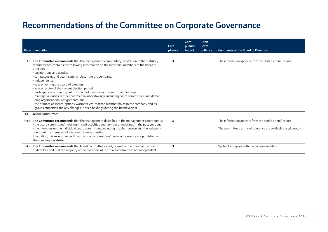| Recommendation                                                                                                                                                                                                                                                                                                                                                                                                                                                                                                                                                                                                                                                                                                                                                                                                                    | Com-<br>pliance | Com-<br>pliance<br>in part | Non-<br>com-<br>pliance | <b>Comments of the Board of Directors:</b>                                                                                |
|-----------------------------------------------------------------------------------------------------------------------------------------------------------------------------------------------------------------------------------------------------------------------------------------------------------------------------------------------------------------------------------------------------------------------------------------------------------------------------------------------------------------------------------------------------------------------------------------------------------------------------------------------------------------------------------------------------------------------------------------------------------------------------------------------------------------------------------|-----------------|----------------------------|-------------------------|---------------------------------------------------------------------------------------------------------------------------|
| 3.3.2. The Committee recommends that the management commentary, in addition to the statutory<br>requirements, contains the following information on the individual members of the board of<br>directors:<br>· position, age and gender,<br>· competencies and qualifications relevant to the company,<br>· independence,<br>· year of joining the board of directors,<br>· year of expiry of the current election period,<br>· participation in meetings of the board of directors and committee meetings,<br>· managerial duties in other commercial undertakings, including board committees, and deman-<br>ding organisational assignments, and<br>· the number of shares, options, warrants, etc. that the member holds in the company and its<br>group companies and any changes in such holdings during the financial year. | X               |                            |                         | The information appears from the Bank's annual report.                                                                    |
| <b>Board committees</b><br>3.4.                                                                                                                                                                                                                                                                                                                                                                                                                                                                                                                                                                                                                                                                                                                                                                                                   |                 |                            |                         |                                                                                                                           |
| 3.4.1. The Committee recommends that the management describes in the management commentary:<br>· the board committees' most significant activities and number of meetings in the past year, and<br>the members on the individual board committees, including the chairperson and the indepen-<br>dence of the members of the committee in question.<br>In addition, it is recommended that the board committees' terms of reference are published on<br>the company's website.                                                                                                                                                                                                                                                                                                                                                    | X               |                            |                         | The information appears from the Bank's annual report.<br>The committees' terms of reference are available at sydbank.dk. |
| 3.4.2. The Committee recommends that board committees solely consist of members of the board<br>of directors and that the majority of the members of the board committees are independent.                                                                                                                                                                                                                                                                                                                                                                                                                                                                                                                                                                                                                                        | X               |                            |                         | Sydbank complies with the recommendation.                                                                                 |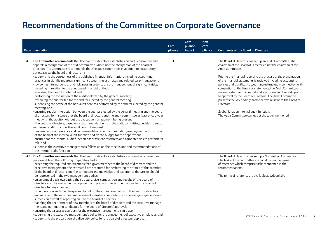|                                                                                                                                                                                                                                                                                          | Com-    | Com-<br>pliance | Non-<br>com- |                                                                                                                                                |
|------------------------------------------------------------------------------------------------------------------------------------------------------------------------------------------------------------------------------------------------------------------------------------------|---------|-----------------|--------------|------------------------------------------------------------------------------------------------------------------------------------------------|
| Recommendation                                                                                                                                                                                                                                                                           | pliance | in part         | pliance      | <b>Comments of the Board of Directors:</b>                                                                                                     |
|                                                                                                                                                                                                                                                                                          |         |                 |              |                                                                                                                                                |
| 3.4.3. The Committee recommends that the board of directors establishes an audit committee and<br>appoints a chairperson of the audit committee who is not the chairperson of the board of<br>directors. The Committee recommends that the audit committee, in addition to its statutory | X       |                 |              | The Board of Directors has set up an Audit Committee. The<br>chairman of the Board of Directors is not the chairman of the<br>Audit Committee. |
| duties, assists the board of directors in:                                                                                                                                                                                                                                               |         |                 |              |                                                                                                                                                |
| · supervising the correctness of the published financial information, including accounting                                                                                                                                                                                               |         |                 |              | Prior to the financial reporting the process of the presentation                                                                               |
| practices in significant areas, significant accounting estimates and related party transactions,                                                                                                                                                                                         |         |                 |              | of the financial statements is reviewed including accounting                                                                                   |
| · reviewing internal control and risk areas in order to ensure management of significant risks,                                                                                                                                                                                          |         |                 |              | policies and significant accounting estimates. In connection with                                                                              |
| including in relation to the announced financial outlook,                                                                                                                                                                                                                                |         |                 |              | completion of the financial statements, the Audit Committee                                                                                    |
| · assessing the need for internal audit,                                                                                                                                                                                                                                                 |         |                 |              | reviews a draft annual report and long-form audit reports prior<br>to approval by the Board of Directors. The Audit Committee                  |
| · performing the evaluation of the auditor elected by the general meeting,<br>· reviewing the auditor fee for the auditor elected by the general meeting,                                                                                                                                |         |                 |              | presents the key findings from the two reviews to the Board of                                                                                 |
| · supervising the scope of the non-audit services performed by the auditor elected by the general<br>meeting, and                                                                                                                                                                        |         |                 |              | Directors.                                                                                                                                     |
| · ensuring regular interaction between the auditor elected by the general meeting and the board                                                                                                                                                                                          |         |                 |              | Sydbank has an internal audit function.                                                                                                        |
| of directors, for instance that the board of directors and the audit committee at least once a year                                                                                                                                                                                      |         |                 |              | The Audit Committee carries out the tasks mentioned.                                                                                           |
| meet with the auditor without the executive management being present.                                                                                                                                                                                                                    |         |                 |              |                                                                                                                                                |
| If the board of directors, based on a recommendation from the audit committee, decides to set up                                                                                                                                                                                         |         |                 |              |                                                                                                                                                |
| an internal audit function, the audit committee must:                                                                                                                                                                                                                                    |         |                 |              |                                                                                                                                                |
| · prepare terms of reference and recommendations on the nomination, employment and dismissal                                                                                                                                                                                             |         |                 |              |                                                                                                                                                |
| of the head of the internal audit function and on the budget for the department,                                                                                                                                                                                                         |         |                 |              |                                                                                                                                                |
| · ensure that the internal audit function has sufficient resources and competencies to perform its                                                                                                                                                                                       |         |                 |              |                                                                                                                                                |
| role, and                                                                                                                                                                                                                                                                                |         |                 |              |                                                                                                                                                |
| · supervise the executive management's follow-up on the conclusions and recommendations of<br>the internal audit function.                                                                                                                                                               |         |                 |              |                                                                                                                                                |
| 3.4.4. The Committee recommends that the board of directors establishes a nomination committee to                                                                                                                                                                                        | X       |                 |              | The Board of Directors has set up a Nomination Committee.                                                                                      |
| perform at least the following preparatory tasks:                                                                                                                                                                                                                                        |         |                 |              | The tasks of the committee are laid down in the terms                                                                                          |
| · describing the required qualifications for a given member of the board of directors and the                                                                                                                                                                                            |         |                 |              | of reference which comprise tasks mentioned in the                                                                                             |
| executive management, the estimated time required for performing the duties of this member                                                                                                                                                                                               |         |                 |              | recommendations.                                                                                                                               |
| of the board of directors and the competencies, knowledge and experience that are or should                                                                                                                                                                                              |         |                 |              |                                                                                                                                                |
| be represented in the two management bodies,                                                                                                                                                                                                                                             |         |                 |              | The terms of reference are available at sydbank.dk.                                                                                            |
| on an annual basis evaluating the structure, size, composition and results of the board of                                                                                                                                                                                               |         |                 |              |                                                                                                                                                |
| directors and the executive management and preparing recommendations for the board of                                                                                                                                                                                                    |         |                 |              |                                                                                                                                                |
| directors for any changes,                                                                                                                                                                                                                                                               |         |                 |              |                                                                                                                                                |
| in cooperation with the chairperson handling the annual evaluation of the board of directors<br>and assessing the individual management members' competencies, knowledge, experience and                                                                                                 |         |                 |              |                                                                                                                                                |
| succession as well as reporting on it to the board of directors,                                                                                                                                                                                                                         |         |                 |              |                                                                                                                                                |
| · handling the recruitment of new members to the board of directors and the executive manage-                                                                                                                                                                                            |         |                 |              |                                                                                                                                                |
| ment and nominating candidates for the board of directors' approval,                                                                                                                                                                                                                     |         |                 |              |                                                                                                                                                |
| · ensuring that a succession plan for the executive management is in place,                                                                                                                                                                                                              |         |                 |              |                                                                                                                                                |
| · supervising the executive management's policy for the engagement of executive employees, and                                                                                                                                                                                           |         |                 |              |                                                                                                                                                |
| · supervising the preparation of a diversity policy for the board of directors' approval.                                                                                                                                                                                                |         |                 |              | SYDBANK / Corporate Governance 2021                                                                                                            |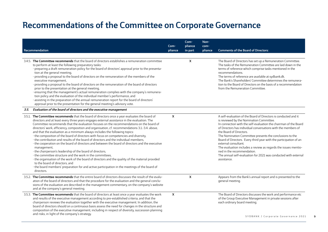| Recommendation                                                                                                                                                                                                                                                                                                                                                                                                                                                                                                                                                                                                                                                                                                                                                                                                                                                                                                                                                                                                                                                                                                                                                   | Com-<br>pliance           | Com-<br>pliance<br>in part | Non-<br>com-<br>pliance | <b>Comments of the Board of Directors:</b>                                                                                                                                                                                                                                                                                                                                                                                                                                                                                                                                                                             |
|------------------------------------------------------------------------------------------------------------------------------------------------------------------------------------------------------------------------------------------------------------------------------------------------------------------------------------------------------------------------------------------------------------------------------------------------------------------------------------------------------------------------------------------------------------------------------------------------------------------------------------------------------------------------------------------------------------------------------------------------------------------------------------------------------------------------------------------------------------------------------------------------------------------------------------------------------------------------------------------------------------------------------------------------------------------------------------------------------------------------------------------------------------------|---------------------------|----------------------------|-------------------------|------------------------------------------------------------------------------------------------------------------------------------------------------------------------------------------------------------------------------------------------------------------------------------------------------------------------------------------------------------------------------------------------------------------------------------------------------------------------------------------------------------------------------------------------------------------------------------------------------------------------|
| 3.4.5. The Committee recommends that the board of directors establishes a remuneration committee<br>to perform at least the following preparatory tasks:<br>· preparing a draft remuneration policy for the board of directors' approval prior to the presenta-<br>tion at the general meeting,<br>· providing a proposal to the board of directors on the remuneration of the members of the<br>executive management,<br>· providing a proposal to the board of directors on the remuneration of the board of directors<br>prior to the presentation at the general meeting,<br>· ensuring that the management's actual remuneration complies with the company's remunera-<br>tion policy and the evaluation of the individual member's performance, and<br>· assisting in the preparation of the annual remuneration report for the board of directors'<br>approval prior to the presentation for the general meeting's advisory vote.                                                                                                                                                                                                                         |                           | X                          |                         | The Board of Directors has set up a Remuneration Committee.<br>The tasks of the Remuneration Committee are laid down in the<br>terms of reference which comprise tasks mentioned in the<br>recommendations.<br>The terms of reference are available at sydbank.dk.<br>The Bank's Shareholders' Committee determines the remunera-<br>tion to the Board of Directors on the basis of a recommendation<br>from the Remuneration Committee.                                                                                                                                                                               |
| Evaluation of the board of directors and the executive management<br>3.5.                                                                                                                                                                                                                                                                                                                                                                                                                                                                                                                                                                                                                                                                                                                                                                                                                                                                                                                                                                                                                                                                                        |                           |                            |                         |                                                                                                                                                                                                                                                                                                                                                                                                                                                                                                                                                                                                                        |
| The Committee recommends that the board of directors once a year evaluates the board of<br>3.5.1.<br>directors and at least every three years engages external assistance in the evaluation. The<br>Committee recommends that the evaluation focuses on the recommendations on the board of<br>directors' work, efficiency, composition and organisation, cf. recommendations 3.1 .- 3.4. above,<br>and that the evaluation as a minimum always includes the following topics:<br>· the composition of the board of directors with focus on competencies and diversity,<br>· the contribution and results of the board of directors and the individual members,<br>· the cooperation on the board of directors and between the board of directors and the executive<br>management,<br>· the chairperson's leadership of the board of directors,<br>· the committee structure and the work in the committees,<br>the organisation of the work of the board of directors and the quality of the material provided<br>to the board of directors, and<br>· the board members' preparation for and active participation in the meetings of the board of<br>directors. | $\boldsymbol{\mathsf{x}}$ |                            |                         | A self-evaluation of the Board of Directors is conducted and it<br>is reviewed by the Nomination Committee.<br>In connection with the self-evaluation the chairman of the Board<br>of Directors has individual conversations with the members of<br>the Board of Directors.<br>The Nomination Committee presents the conclusions to the<br>Board of Directors. Every third year with the participation of an<br>external consultant.<br>The evaluation includes a review as regards the issues mentio-<br>ned in the recommendation.<br>The annual self-evaluation for 2021 was conducted with external<br>assistance. |
| 3.5.2. The Committee recommends that the entire board of directors discusses the result of the evalu-<br>ation of the board of directors and that the procedure for the evaluation and the general conclu-<br>sions of the evaluation are described in the management commentary, on the company's website<br>and at the company's general meeting.                                                                                                                                                                                                                                                                                                                                                                                                                                                                                                                                                                                                                                                                                                                                                                                                              |                           | $\mathsf{x}$               |                         | Appears from the Bank's annual report and is presented to the<br>general meeting.                                                                                                                                                                                                                                                                                                                                                                                                                                                                                                                                      |
| 3.5.3. The Committee recommends that the board of directors at least once a year evaluates the work<br>and results of the executive management according to pre-established criteria, and that the<br>chairperson reviews the evaluation together with the executive management. In addition, the<br>board of directors should on a continuous basis assess the need for changes in the structure and<br>composition of the executive management, including in respect of diversity, succession planning<br>and risks, in light of the company's strategy.                                                                                                                                                                                                                                                                                                                                                                                                                                                                                                                                                                                                       | $\boldsymbol{\mathsf{X}}$ |                            |                         | The Board of Directors discusses the work and performance etc<br>of the Group Executive Management in private sessions after<br>each ordinary board meeting.<br>SYDBANK / Corporate Governance 2021                                                                                                                                                                                                                                                                                                                                                                                                                    |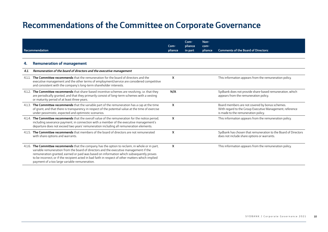|    | Recommendation                                                                                                                                                                                                                                                                                                                                                                                                                             | Com-<br>pliance | Com-<br>pliance<br>in part | Non-<br>com-<br>pliance | <b>Comments of the Board of Directors:</b>                                                                                                         |
|----|--------------------------------------------------------------------------------------------------------------------------------------------------------------------------------------------------------------------------------------------------------------------------------------------------------------------------------------------------------------------------------------------------------------------------------------------|-----------------|----------------------------|-------------------------|----------------------------------------------------------------------------------------------------------------------------------------------------|
| 4. | <b>Remuneration of management</b>                                                                                                                                                                                                                                                                                                                                                                                                          |                 |                            |                         |                                                                                                                                                    |
|    | Remuneration of the board of directors and the executive management                                                                                                                                                                                                                                                                                                                                                                        |                 |                            |                         |                                                                                                                                                    |
|    | 4.1.1. The Committee recommends that the remuneration for the board of directors and the<br>executive management and the other terms of employment/service are considered competitive<br>and consistent with the company's long-term shareholder interests.                                                                                                                                                                                | X               |                            |                         | This information appears from the remuneration policy.                                                                                             |
|    | 4.1.2. The Committee recommends that share-based incentive schemes are revolving, i.e. that they<br>are periodically granted, and that they primarily consist of long-term schemes with a vesting<br>or maturity period of at least three years.                                                                                                                                                                                           | N/A             |                            |                         | Sydbank does not provide share-based remuneration, which<br>appears from the remuneration policy.                                                  |
|    | 4.1.3. The Committee recommends that the variable part of the remuneration has a cap at the time<br>of grant, and that there is transparency in respect of the potential value at the time of exercise<br>under pessimistic, expected and optimistic scenarios.                                                                                                                                                                            | X               |                            |                         | Board members are not covered by bonus schemes.<br>With regard to the Group Executive Management, reference<br>is made to the remuneration policy. |
|    | 4.1.4. The Committee recommends that the overall value of the remuneration for the notice period,<br>including severance payment, in connection with a member of the executive management's<br>departure does not exceed two years' remuneration including all remuneration elements.                                                                                                                                                      | X               |                            |                         | This information appears from the remuneration policy.                                                                                             |
|    | 4.1.5. The Committee recommends that members of the board of directors are not remunerated<br>with share options and warrants.                                                                                                                                                                                                                                                                                                             | X               |                            |                         | Sydbank has chosen that remuneration to the Board of Directors<br>does not include share options or warrants.                                      |
|    | 4.1.6. The Committee recommends that the company has the option to reclaim, in whole or in part,<br>variable remuneration from the board of directors and the executive management if the<br>remuneration granted, earned or paid was based on information which subsequently proves<br>to be incorrect, or if the recipient acted in bad faith in respect of other matters which implied<br>payment of a too large variable remuneration. | X               |                            |                         | This information appears from the remuneration policy.                                                                                             |